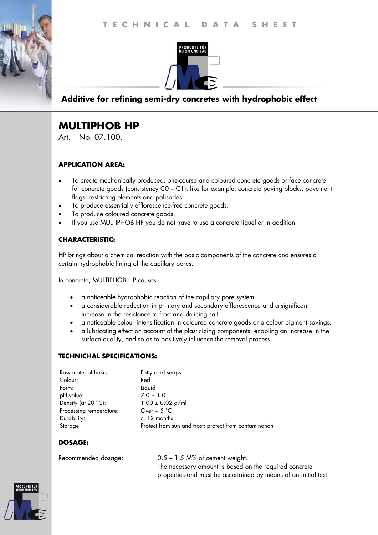



## **Additive for refining semi-dry concretes with hydrophobic effect**

# **MULTIPHOB HP**

Art. – No. 07.100.

### **APPLICATION AREA:**

- To create mechanically produced, one-course and coloured concrete goods or face concrete for concrete goods (consistency C0 – C1), like for example, concrete paving blocks, pavement flags, restricting elements and palisades.
- To produce essentially efflorescence-free concrete goods.
- To produce coloured concrete goods.
- If you use MULTIPHOB HP you do not have to use a concrete liquefier in addition.

## **CHARACTERISTIC:**

HP brings about a chemical reaction with the basic components of the concrete and ensures a certain hydrophobic lining of the capillary pores.

In concrete, MULTIPHOB HP causes

- a noticeable hydrophobic reaction of the capillary pore system.
- a considerable reduction in primary and secondary efflorescence and a significant increase in the resistance to frost and de-icing salt.
- a noticeable colour intensification in coloured concrete goods or a colour pigment savings.
- a lubricating effect on account of the plasticizing components, enabling an increase in the surface quality, and so as to positively influence the removal process.

### **TECHNICHAL SPECIFICATIONS:**

| Fatty acid soaps                                       |
|--------------------------------------------------------|
| Red                                                    |
| Liquid                                                 |
| $7.0 \pm 1.0$                                          |
| $1.00 \pm 0.02$ g/ml                                   |
| Over + $5^{\circ}$ C                                   |
| c. 12 months                                           |
| Protect from sun and frost; protect from contamination |
|                                                        |

## **DOSAGE:**

Recommended dosage: 0.5 – 1.5 M% of cement weight. The necessary amount is based on the required concrete properties and must be ascertained by means of an initial test.